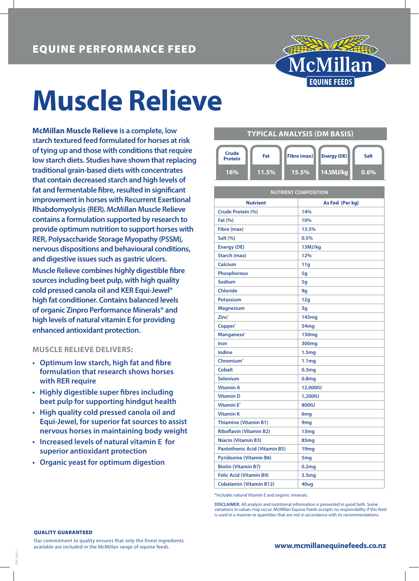

# **Muscle Relieve**

**McMillan Muscle Relieve is a complete, low starch textured feed formulated for horses at risk of tying up and those with conditions that require low starch diets. Studies have shown that replacing traditional grain-based diets with concentrates that contain decreased starch and high levels of fat and fermentable fibre, resulted in significant improvement in horses with Recurrent Exertional Rhabdomyolysis (RER). McMillan Muscle Relieve contains a formulation supported by research to provide optimum nutrition to support horses with RER, Polysaccharide Storage Myopathy (PSSM), nervous dispositions and behavioural conditions, and digestive issues such as gastric ulcers.**

**Muscle Relieve combines highly digestible fibre sources including beet pulp, with high quality cold pressed canola oil and KER Equi-Jewel® high fat conditioner. Contains balanced levels of organic Zinpro Performance Minerals® and high levels of natural vitamin E for providing enhanced antioxidant protection.**

## **MUSCLE RELIEVE DELIVERS:**

- **• Optimum low starch, high fat and fibre formulation that research shows horses with RER require**
- **• Highly digestible super fibres including beet pulp for supporting hindgut health**
- **• High quality cold pressed canola oil and Equi-Jewel, for superior fat sources to assist nervous horses in maintaining body weight**
- **• Increased levels of natural vitamin E for superior antioxidant protection**
- **• Organic yeast for optimum digestion**

### **TYPICAL ANALYSIS (DM BASIS)**



| <b>NUTRIENT COMPOSITION</b>          |                   |  |  |  |
|--------------------------------------|-------------------|--|--|--|
| <b>Nutrient</b>                      | As Fed (Per kg)   |  |  |  |
| Crude Protein (%)                    | 14%               |  |  |  |
| Fat (%)                              | 10%               |  |  |  |
| Fibre (max)                          | 13.5%             |  |  |  |
| Salt (%)                             | 0.5%              |  |  |  |
| <b>Energy (DE)</b>                   | 13MJ/kg           |  |  |  |
| Starch (max)                         | 12%               |  |  |  |
| Calcium                              | 11q               |  |  |  |
| <b>Phosphorous</b>                   | 5q                |  |  |  |
| Sodium                               | 5q                |  |  |  |
| <b>Chloride</b>                      | 9g                |  |  |  |
| <b>Potassium</b>                     | 12g               |  |  |  |
| <b>Magnesium</b>                     | 3g                |  |  |  |
| Zinc <sup>*</sup>                    | 145 <sub>mg</sub> |  |  |  |
| Copper <sup>*</sup>                  | 54mg              |  |  |  |
| Manganese*                           | <b>150mg</b>      |  |  |  |
| Iron                                 | 300 <sub>mg</sub> |  |  |  |
| lodine                               | 1.5 <sub>mg</sub> |  |  |  |
| Chromium <sup>*</sup>                | 1.1 <sub>mg</sub> |  |  |  |
| <b>Cobalt</b>                        | 0.3 <sub>mg</sub> |  |  |  |
| <b>Selenium</b>                      | 0.8 <sub>mg</sub> |  |  |  |
| <b>Vitamin A</b>                     | 12,000IU          |  |  |  |
| <b>Vitamin D</b>                     | 1,200IU           |  |  |  |
| <b>Vitamin E*</b>                    | <b>800IU</b>      |  |  |  |
| <b>Vitamin K</b>                     | 6 <sub>mg</sub>   |  |  |  |
| <b>Thiamine (Vitamin B1)</b>         | 9 <sub>mg</sub>   |  |  |  |
| <b>Riboflavin (Vitamin B2)</b>       | 13mg              |  |  |  |
| <b>Niacin (Vitamin B3)</b>           | 85mg              |  |  |  |
| <b>Pantothenic Acid (Vitamin B5)</b> | 19mg              |  |  |  |
| <b>Pyridoxine (Vitamin B6)</b>       | 5 <sub>mg</sub>   |  |  |  |
| <b>Biotin (Vitamin B7)</b>           | 0.2 <sub>mg</sub> |  |  |  |
| <b>Folic Acid (Vitamin B9)</b>       | 3.5 <sub>mg</sub> |  |  |  |
| <b>Cobalamin (Vitamin B12)</b>       | 40ug              |  |  |  |

\*Includes natural Vitamin E and organic minerals.

**DISCLAIMER.** All analysis and nutritional information is presented in good faith. Some variations in values may occur. McMillan Equine Feeds accepts no responsibility if this feed is used in a manner or quantities that are not in accordance with its recommendations.

#### QUALITY GUARANTEED

FAR\_04971

Our commitment to quality ensures that only the finest ingredients available are included in the McMillan range of equine feeds.